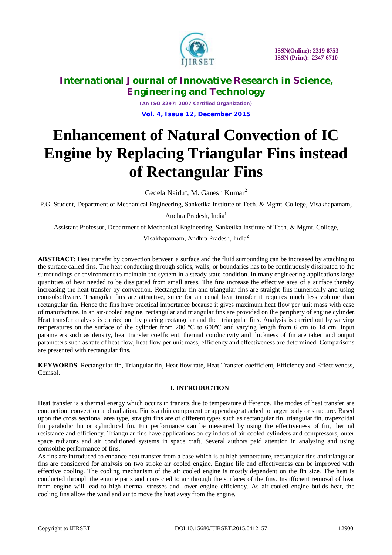

*(An ISO 3297: 2007 Certified Organization)* **Vol. 4, Issue 12, December 2015**

# **Enhancement of Natural Convection of IC Engine by Replacing Triangular Fins instead of Rectangular Fins**

Gedela Naidu<sup>1</sup>, M. Ganesh Kumar<sup>2</sup>

P.G. Student, Department of Mechanical Engineering, Sanketika Institute of Tech. & Mgmt. College, Visakhapatnam,

Andhra Pradesh, India<sup>1</sup>

Assistant Professor, Department of Mechanical Engineering, Sanketika Institute of Tech. & Mgmt. College,

Visakhapatnam, Andhra Pradesh, India<sup>2</sup>

**ABSTRACT**: Heat transfer by convection between a surface and the fluid surrounding can be increased by attaching to the surface called fins. The heat conducting through solids, walls, or boundaries has to be continuously dissipated to the surroundings or environment to maintain the system in a steady state condition. In many engineering applications large quantities of heat needed to be dissipated from small areas. The fins increase the effective area of a surface thereby increasing the heat transfer by convection. Rectangular fin and triangular fins are straight fins numerically and using comsolsoftware. Triangular fins are attractive, since for an equal heat transfer it requires much less volume than rectangular fin. Hence the fins have practical importance because it gives maximum heat flow per unit mass with ease of manufacture. In an air-cooled engine, rectangular and triangular fins are provided on the periphery of engine cylinder. Heat transfer analysis is carried out by placing rectangular and then triangular fins. Analysis is carried out by varying temperatures on the surface of the cylinder from 200 ºC to 600ºC and varying length from 6 cm to 14 cm. Input parameters such as density, heat transfer coefficient, thermal conductivity and thickness of fin are taken and output parameters such as rate of heat flow, heat flow per unit mass, efficiency and effectiveness are determined. Comparisons are presented with rectangular fins.

**KEYWORDS**: Rectangular fin, Triangular fin, Heat flow rate, Heat Transfer coefficient, Efficiency and Effectiveness, Comsol.

### **I. INTRODUCTION**

Heat transfer is a thermal energy which occurs in transits due to temperature difference. The modes of heat transfer are conduction, convection and radiation. Fin is a thin component or appendage attached to larger body or structure. Based upon the cross sectional area type, straight fins are of different types such as rectangular fin, triangular fin, trapezoidal fin parabolic fin or cylindrical fin. Fin performance can be measured by using the effectiveness of fin, thermal resistance and efficiency. Triangular fins have applications on cylinders of air cooled cylinders and compressors, outer space radiators and air conditioned systems in space craft. Several authors paid attention in analysing and using comsolthe performance of fins.

As fins are introduced to enhance heat transfer from a base which is at high temperature, rectangular fins and triangular fins are considered for analysis on two stroke air cooled engine. Engine life and effectiveness can be improved with effective cooling. The cooling mechanism of the air cooled engine is mostly dependent on the fin size. The heat is conducted through the engine parts and convicted to air through the surfaces of the fins. Insufficient removal of heat from engine will lead to high thermal stresses and lower engine efficiency. As air-cooled engine builds heat, the cooling fins allow the wind and air to move the heat away from the engine.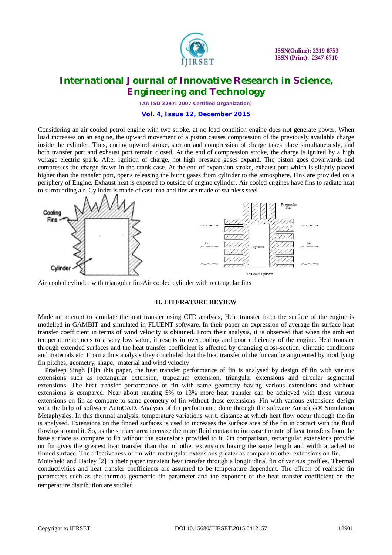

*(An ISO 3297: 2007 Certified Organization)*

#### **Vol. 4, Issue 12, December 2015**

Considering an air cooled petrol engine with two stroke, at no load condition engine does not generate power. When load increases on an engine, the upward movement of a piston causes compression of the previously available charge inside the cylinder. Thus, during upward stroke, suction and compression of charge takes place simultaneously, and both transfer port and exhaust port remain closed. At the end of compression stroke, the charge is ignited by a high voltage electric spark. After ignition of charge, hot high pressure gases expand. The piston goes downwards and compresses the charge drawn in the crank case. At the end of expansion stroke, exhaust port which is slightly placed higher than the transfer port, opens releasing the burnt gases from cylinder to the atmosphere. Fins are provided on a periphery of Engine. Exhaust heat is exposed to outside of engine cylinder. Air cooled engines have fins to radiate heat to surrounding air. Cylinder is made of cast iron and fins are made of stainless steel



Air cooled cylinder with triangular finsAir cooled cylinder with rectangular fins

#### **II. LITERATURE REVIEW**

Made an attempt to simulate the heat transfer using CFD analysis, Heat transfer from the surface of the engine is modelled in GAMBIT and simulated in FLUENT software. In their paper an expression of average fin surface heat transfer coefficient in terms of wind velocity is obtained. From their analysis, it is observed that when the ambient temperature reduces to a very low value, it results in overcooling and poor efficiency of the engine. Heat transfer through extended surfaces and the heat transfer coefficient is affected by changing cross-section, climatic conditions and materials etc. From a thus analysis they concluded that the heat transfer of the fin can be augmented by modifying fin pitches, geometry, shape, material and wind velocity

Pradeep Singh [1]in this paper, the heat transfer performance of fin is analysed by design of fin with various extensions such as rectangular extension, trapezium extension, triangular extensions and circular segmental extensions. The heat transfer performance of fin with same geometry having various extensions and without extensions is compared. Near about ranging 5% to 13% more heat transfer can be achieved with these various extensions on fin as compare to same geometry of fin without these extensions. Fin with various extensions design with the help of software AutoCAD. Analysis of fin performance done through the software Autodesk® Simulation Metaphysics. In this thermal analysis, temperature variations w.r.t. distance at which heat flow occur through the fin is analysed. Extensions on the finned surfaces is used to increases the surface area of the fin in contact with the fluid flowing around it. So, as the surface area increase the more fluid contact to increase the rate of heat transfers from the base surface as compare to fin without the extensions provided to it. On comparison, rectangular extensions provide on fin gives the greatest heat transfer than that of other extensions having the same length and width attached to finned surface. The effectiveness of fin with rectangular extensions greater as compare to other extensions on fin.

Moitsheki and Harley [2] in their paper transient heat transfer through a longitudinal fin of various profiles. Thermal conductivities and heat transfer coefficients are assumed to be temperature dependent. The effects of realistic fin parameters such as the thermos geometric fin parameter and the exponent of the heat transfer coefficient on the temperature distribution are studied.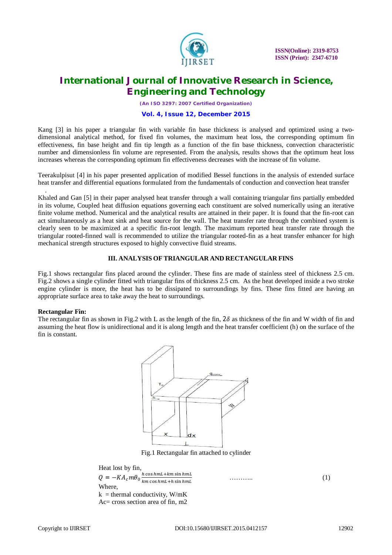

*(An ISO 3297: 2007 Certified Organization)*

#### **Vol. 4, Issue 12, December 2015**

Kang [3] in his paper a triangular fin with variable fin base thickness is analysed and optimized using a twodimensional analytical method, for fixed fin volumes, the maximum heat loss, the corresponding optimum fin effectiveness, fin base height and fin tip length as a function of the fin base thickness, convection characteristic number and dimensionless fin volume are represented. From the analysis, results shows that the optimum heat loss increases whereas the corresponding optimum fin effectiveness decreases with the increase of fin volume.

Teerakulpisut [4] in his paper presented application of modified Bessel functions in the analysis of extended surface heat transfer and differential equations formulated from the fundamentals of conduction and convection heat transfer

Khaled and Gan [5] in their paper analysed heat transfer through a wall containing triangular fins partially embedded in its volume, Coupled heat diffusion equations governing each constituent are solved numerically using an iterative finite volume method. Numerical and the analytical results are attained in their paper. It is found that the fin-root can act simultaneously as a heat sink and heat source for the wall. The heat transfer rate through the combined system is clearly seen to be maximized at a specific fin-root length. The maximum reported heat transfer rate through the triangular rooted-finned wall is recommended to utilize the triangular rooted-fin as a heat transfer enhancer for high mechanical strength structures exposed to highly convective fluid streams.

#### **III. ANALYSIS OF TRIANGULAR AND RECTANGULAR FINS**

Fig.1 shows rectangular fins placed around the cylinder. These fins are made of stainless steel of thickness 2.5 cm. Fig.2 shows a single cylinder fitted with triangular fins of thickness 2.5 cm. As the heat developed inside a two stroke engine cylinder is more, the heat has to be dissipated to surroundings by fins. These fins fitted are having an appropriate surface area to take away the heat to surroundings.

### **Rectangular Fin:**

.

The rectangular fin as shown in Fig.2 with L as the length of the fin,  $2\delta$  as thickness of the fin and W width of fin and assuming the heat flow is unidirectional and it is along length and the heat transfer coefficient (h) on the surface of the fin is constant.



Fig.1 Rectangular fin attached to cylinder

Heat lost by fin,  $Q = -KA_c m\theta_0 \frac{h \cos h mL + km \sin h mL}{km \cos h mL + h \sin h mL}$  $Q = -KA_c m\theta_0 \frac{h \cos h m L + km \sin h m L}{k m \cos h m L + h \sin h m L}$  (1) Where,  $k =$  thermal conductivity, W/mK Ac= cross section area of fin, m2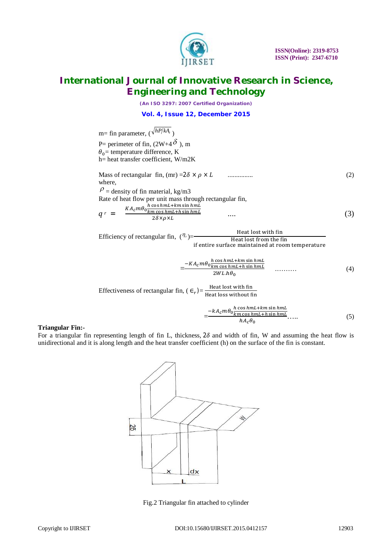

*(An ISO 3297: 2007 Certified Organization)*

**Vol. 4, Issue 12, December 2015**

m= fin parameter, 
$$
(\sqrt{hP/kA_c})
$$
  
\nP= perimeter of fin,  $(2W+4\delta)$ , m  
\n $\theta_0$ = temperature difference, K  
\nh= heat transfer coefficient, W/m2K  
\nMass of rectangular fin, (mr) =2 $\delta \times \rho \times L$  .......  
\nwhere,  
\n $\rho$  = density of fin material, kg/m3  
\nRate of heat flow per unit mass through rectangular fin,  
\n $q = \frac{KA_c m\theta_0 \frac{h \cos h m L + k m \sin h m L}{2\delta \times \rho \times L}}$  .... (3)  
\nEfficiency of rectangular fin,  $(n_c)$ —Heat lost with fin

Efficiency of rectangular fin,  $(^{\prime\prime}$ <sup>r</sup>) Heat lost from the fin if entire surface maintained at room temperature

$$
=\frac{-KA_{c}m\theta_{0} \frac{h\cos\hbar mL + km\sin\hbar mL}{km\cos\hbar mL}}{2WL.h\theta_{0}}
$$
\n(4)

Effectiveness of rectangular fin,  $(\epsilon_r)$  Heat lost with fin Heat loss without fin

$$
=\frac{-kA_{c}m\theta_{0}\frac{h\cos\hbar mL + km\sin\hbar mL}{km\cos\hbar mL + h\sin\hbar mL}}{hA_{c}\theta_{0}}.
$$
\n(5)

### **Triangular Fin:-**

For a triangular fin representing length of fin L, thickness,  $2\delta$  and width of fin, W and assuming the heat flow is unidirectional and it is along length and the heat transfer coefficient (h) on the surface of the fin is constant.



Fig.2 Triangular fin attached to cylinder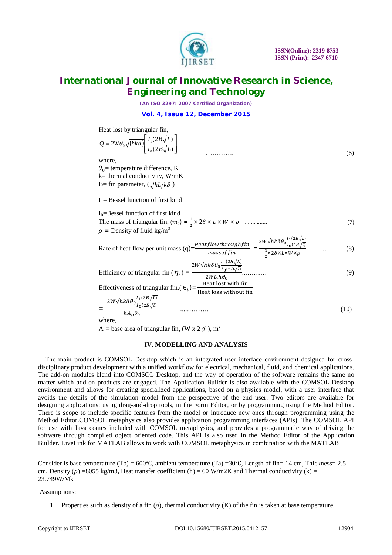

*(An ISO 3297: 2007 Certified Organization)*

**Vol. 4, Issue 12, December 2015**

Heat lost by triangular fin,

$$
Q = 2W\theta_0 \sqrt{h k \delta} \left[ \frac{I_1(2B\sqrt{L})}{I_0(2B\sqrt{L})} \right]
$$
  
where,

 $\theta_0$  = temperature difference, K

k= thermal conductivity, W/mK B= fin parameter,  $\left(\sqrt{\frac{hL}{k\delta}}\right)$ 

 $I_1$ = Bessel function of first kind

 $I<sub>0</sub>=$ Bessel function of first kind The mass of triangular fin,  $(m_t) = \frac{1}{2}$ ଶ (7) ................ ߩ × ܹ × ܮ × ߜ2 ×  $\rho$  = Density of fluid kg/m<sup>3</sup>

Rate of heat flow per unit mass (q)=
$$
\frac{Heatflow throughfin}{massoffin} = \frac{2W\sqrt{hk\delta}\theta_0 \frac{I_1(2B\sqrt{L})}{I_0(2B\sqrt{L})}} \qquad \dots \qquad (8)
$$

Efficiency of triangular fin 
$$
(\eta_t)
$$
 = 
$$
\frac{2W\sqrt{hk\delta\theta_0}\frac{1}{I_0(2B\sqrt{l})}}{2WL.h\theta_0}
$$
........(9)

Effectiveness of triangular fin,  $(\epsilon_t)$  =  $\frac{\text{Heat lost with fin}}{\text{Heat loss without f}}$ Heat loss without fin

$$
=\frac{2W\sqrt{hk\delta}\theta_0\frac{I_1(2B\sqrt{L})}{I_0(2B\sqrt{L})}}{hA_b\theta_0}
$$
\n(10)

where,

A<sub>b</sub>= base area of triangular fin, (W x 2 $\delta$ ), m<sup>2</sup>

#### **IV. MODELLING AND ANALYSIS**

The main product is COMSOL Desktop which is an integrated user interface environment designed for crossdisciplinary product development with a unified workflow for electrical, mechanical, fluid, and chemical applications. The add-on modules blend into COMSOL Desktop, and the way of operation of the software remains the same no matter which add-on products are engaged. The Application Builder is also available with the COMSOL Desktop environment and allows for creating specialized applications, based on a physics model, with a user interface that avoids the details of the simulation model from the perspective of the end user. Two editors are available for designing applications; using drag-and-drop tools, in the Form Editor, or by programming using the Method Editor. There is scope to include specific features from the model or introduce new ones through programming using the Method Editor.COMSOL metaphysics also provides application programming interfaces (APIs). The COMSOL API for use with Java comes included with COMSOL metaphysics, and provides a programmatic way of driving the software through compiled object oriented code. This API is also used in the Method Editor of the Application Builder. LiveLink for MATLAB allows to work with COMSOL metaphysics in combination with the MATLAB

Consider is base temperature (Tb) =  $600\degree C$ , ambient temperature (Ta) =30 $\degree C$ , Length of fin= 14 cm, Thickness= 2.5 cm, Density ( $\rho$ ) = 8055 kg/m3, Heat transfer coefficient (h) = 60 W/m2K and Thermal conductivity (k) = 23.749W/Mk

#### Assumptions:

1. Properties such as density of a fin  $(\rho)$ , thermal conductivity  $(K)$  of the fin is taken at base temperature.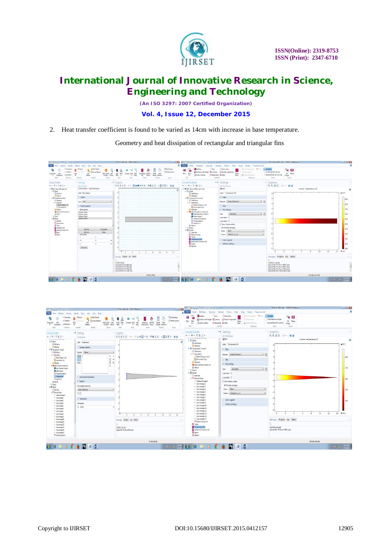

*(An ISO 3297: 2007 Certified Organization)*

**Vol. 4, Issue 12, December 2015**

2. Heat transfer coefficient is found to be varied as 14cm with increase in base temperature.

Geometry and heat dissipation of rectangular and triangular fins



| ■ 主義書誌ラマ家旨 無意義す。                                                                                                                                                                                                                                                                                                                                                                                                                                                                                                                                                                                                                                                                                                                                   |                                                                                                                                                                                                                                                                                                           | $\alpha$ $\beta$ $\alpha$<br>TR-More-800C.mph - COMSOL Multiplysics                                                                                                                                                                                                 | ● 日本日限ので 日当年前代初刊                                                                                                                                                                                                                                                                                                                                                                                                                                                                                                                                                                                                                                                                                                                                                                                                                                                                                                                                   |                                                                                                                                                                                                                                                                                                                                                                | TR-14cms-600C.mph - COMSOL Multiphysics                                                                                      | $\sim$ $\sigma$                                                                                                                 |
|----------------------------------------------------------------------------------------------------------------------------------------------------------------------------------------------------------------------------------------------------------------------------------------------------------------------------------------------------------------------------------------------------------------------------------------------------------------------------------------------------------------------------------------------------------------------------------------------------------------------------------------------------------------------------------------------------------------------------------------------------|-----------------------------------------------------------------------------------------------------------------------------------------------------------------------------------------------------------------------------------------------------------------------------------------------------------|---------------------------------------------------------------------------------------------------------------------------------------------------------------------------------------------------------------------------------------------------------------------|----------------------------------------------------------------------------------------------------------------------------------------------------------------------------------------------------------------------------------------------------------------------------------------------------------------------------------------------------------------------------------------------------------------------------------------------------------------------------------------------------------------------------------------------------------------------------------------------------------------------------------------------------------------------------------------------------------------------------------------------------------------------------------------------------------------------------------------------------------------------------------------------------------------------------------------------------|----------------------------------------------------------------------------------------------------------------------------------------------------------------------------------------------------------------------------------------------------------------------------------------------------------------------------------------------------------------|------------------------------------------------------------------------------------------------------------------------------|---------------------------------------------------------------------------------------------------------------------------------|
| Fie+<br>Definitions Geometry<br>Model<br>Materials                                                                                                                                                                                                                                                                                                                                                                                                                                                                                                                                                                                                                                                                                                 | Physics Mesh Study Results                                                                                                                                                                                                                                                                                |                                                                                                                                                                                                                                                                     | Fle v                                                                                                                                                                                                                                                                                                                                                                                                                                                                                                                                                                                                                                                                                                                                                                                                                                                                                                                                              | Definitions Geometry Materials Physics Mesh Study Results Temperature (Ht)                                                                                                                                                                                                                                                                                     |                                                                                                                              |                                                                                                                                 |
| Elmoct<br>P: Parameters<br>a-Vasables -<br>Add<br>Reid<br>Component<br>1. Component - McFunctions -<br><b>N</b><br>Model<br>Befritters<br>Geometry                                                                                                                                                                                                                                                                                                                                                                                                                                                                                                                                                                                                 | 13 Slank Material<br><b>E</b> Brows Materials<br>Sielet-<br><b>Add</b><br>Heat Transfer Add<br>Material<br>in Solids - Physics<br>Photo<br>Meteorials                                                                                                                                                     | <b>Fallest Delitop</b><br>B<br>Fi Desktop Laysud .<br><b>Báld</b><br>Mon-<br>Model<br>Meh<br><b>Add</b><br><b>Istherral</b><br>Compute Study<br>Med 1-<br>Libraries Windows -<br>$1 -$ Study<br>Contours (ht) - Group -<br>this<br>Suite<br>Ready<br>Wednes<br>innt | Surface<br>Line<br><b>OH</b><br>Surface with Height Contour 12 Particle Trajectories<br>Plot<br>Plot<br>Arrow Surface<br><b>MS</b> Streamline <b>M</b> Mesh<br>$h$ .<br>Add Pist<br>Pist                                                                                                                                                                                                                                                                                                                                                                                                                                                                                                                                                                                                                                                                                                                                                           | Arrow Line<br>Color Expression - Filter<br>Celsimation<br>More<br>Plots - & Height Expression<br><b>Ittibutes</b>                                                                                                                                                                                                                                              | <b>CONTRACTOR</b><br>宿回<br>First Point for Cut Line<br>2D Player<br>/ Second Point for Cut Line<br>Insoe<br>Select<br>Export |                                                                                                                                 |
| Model Builder<br>** Settings<br>++マ・甘生ご+<br>An in a case was known your<br>4 Gobal<br>E Diritiens<br><b>E Mayor</b><br>4 Component I (comp.)<br><b>I</b> E Difinitions<br>4 % Geometry 1<br>// Bisier Polygon I (b1)<br>Form Union (Se)<br>Active<br>G Materials<br>. B Hest Transfer in Solids (ht)<br>Heat Transfer in Solids 1<br>il IntialValue 1<br><sup>2</sup> Themal houlation I<br>Temperature 1<br>EHatRu1<br>A Mehl<br>I dute or<br>4 BREADS<br>1 3 Dealer<br>a 10 Derived Values<br># Surface Average 3<br>ar Line Average 2<br>" Line Average 3<br>* Live Avenue 4<br>" Line Average 5<br>41 Line Average 6<br>* Line Average 7<br>" Line Average 8<br>4 Line Average 9<br>" Line Avenue 10<br>* Line Average 11<br>= Line Average 12 | Temperature<br>Labet Temperature I<br><b>Ecundary Selection</b><br>Selection Manual<br>$\overline{a}$<br>v<br>面<br>$\overline{\phantom{a}}$<br>6星<br>Darride and Contribution<br>· Equation<br>Stov equation assuming<br>Study 1, Stationary<br>$T=T_{\pm}$<br>* Temperature<br>Temperature<br>$T_1$ 8310 | - I Graphics<br><b>44445 + 340884 6655 4868 0 88</b><br><b>CONTRACTOR</b><br>10<br>$12 -$<br>14<br>$\mathbf{A}$<br>Messages Progress Log Table 2<br>$-11$                                                                                                           | Model Builder<br>$+ - 7 - 7857$<br>W. THE ATRES WESTERING CONS<br>4 Global<br><b>B</b> Definitions<br><b>Materials</b><br>Component 1 (comp3)<br>$E = Definitors$<br>A Geometry 1<br>// Bézier Polygon 1 (b))<br>Form Union (Fire)<br><sup>2</sup> 22 Materials<br><sup>1</sup> Test Transfer in Solids (hd)<br>A Mesh 1<br>198 Study 1<br>$4 \frac{m}{2}$ Results<br><b>In Data Sets</b><br>4 Hill Derived Values<br><sup>48</sup> Surface Average 1<br><sup>ar</sup> Line Average 2<br><sup>as</sup> Line Average 3<br>At Line Average 4<br><sup>At</sup> Line Average 5<br><sup>41</sup> Line Average 6<br><sup>Art</sup> Line Average 7<br><sup>At</sup> Line Average 8<br><sup>41</sup> Line Average 9<br><sup>41</sup> Line Average 10<br><sup>41</sup> Line Average II<br><sup>Ar</sup> Line Average 12<br><sup>46</sup> Line Average 13<br><sup>41</sup> Line Average 14<br>At Line Average 15<br>提 Point Evaluation I<br><b>HE Tables</b> | ** Settings<br>2D Plot Group<br><b>Gill Plot</b><br>Label: Temperature Inti<br>$-$ Data<br>Data set Study 1/Solution 1<br>$-5$<br>Title<br>v Plot Settings<br>$\cdot$ h<br>Automatic<br>View.<br>x-aislabet<br>$v$ -axis label:<br>Show hidden entities<br>W Plot data set edges<br>Color: Black<br>Frame Material (x,y, z)<br>Color Legend<br>Window Settings | + + Graphics<br><b>QQQB U. BR</b><br>$\alpha$<br>Messages Progress Log Table 2                                               | Surface: Temperature (K)<br>▲ 873<br>.810<br>$-700$<br>610<br>SI0<br>400<br>14 7 309<br>12<br>10<br>s<br>$\mathbf{R}$<br>7.8.20 |
| 41 Line Average 13<br># Line Average 14<br>" Line Avenue 15<br>If Point Evaluation 1                                                                                                                                                                                                                                                                                                                                                                                                                                                                                                                                                                                                                                                               |                                                                                                                                                                                                                                                                                                           | CONSOL 5.00.263<br>Opened file TR-14cms-600C.mph                                                                                                                                                                                                                    | Temperature (ht)<br>E Isothermal Contours (ht)<br><b>E</b> Eipert<br>Reports                                                                                                                                                                                                                                                                                                                                                                                                                                                                                                                                                                                                                                                                                                                                                                                                                                                                       |                                                                                                                                                                                                                                                                                                                                                                | COMSOL 5.0.0.243<br>Opened file: TR-14cms-600C.mph                                                                           |                                                                                                                                 |
|                                                                                                                                                                                                                                                                                                                                                                                                                                                                                                                                                                                                                                                                                                                                                    |                                                                                                                                                                                                                                                                                                           | 727 MB   983 MB                                                                                                                                                                                                                                                     |                                                                                                                                                                                                                                                                                                                                                                                                                                                                                                                                                                                                                                                                                                                                                                                                                                                                                                                                                    |                                                                                                                                                                                                                                                                                                                                                                |                                                                                                                              | 740 MB 1990 MB                                                                                                                  |
| $\theta$ $\theta$                                                                                                                                                                                                                                                                                                                                                                                                                                                                                                                                                                                                                                                                                                                                  | 0                                                                                                                                                                                                                                                                                                         | $\rightarrow$ 380 $\frac{\text{mm}}{\text{mm}}$ $\rightarrow$ $\rightarrow$                                                                                                                                                                                         |                                                                                                                                                                                                                                                                                                                                                                                                                                                                                                                                                                                                                                                                                                                                                                                                                                                                                                                                                    | $\Box$                                                                                                                                                                                                                                                                                                                                                         |                                                                                                                              | $-18.61$ $^{113.40}_{123.205}$                                                                                                  |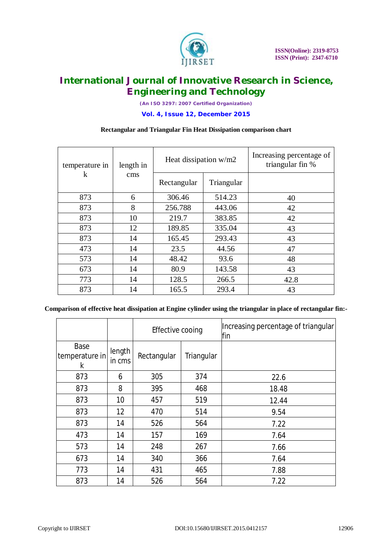

*(An ISO 3297: 2007 Certified Organization)*

**Vol. 4, Issue 12, December 2015**

### **Rectangular and Triangular Fin Heat Dissipation comparison chart**

| temperature in | length in<br>$\mathrm{cm}\mathrm{s}$ | Heat dissipation w/m2 |            | Increasing percentage of<br>triangular fin % |
|----------------|--------------------------------------|-----------------------|------------|----------------------------------------------|
| k              |                                      | Rectangular           | Triangular |                                              |
| 873            | 6                                    | 306.46                | 514.23     | 40                                           |
| 873            | 8                                    | 256.788               | 443.06     | 42                                           |
| 873            | 10                                   | 219.7                 | 383.85     | 42                                           |
| 873            | 12                                   | 189.85                | 335.04     | 43                                           |
| 873            | 14                                   | 165.45                | 293.43     | 43                                           |
| 473            | 14                                   | 23.5                  | 44.56      | 47                                           |
| 573            | 14                                   | 48.42                 | 93.6       | 48                                           |
| 673            | 14                                   | 80.9                  | 143.58     | 43                                           |
| 773            | 14                                   | 128.5                 | 266.5      | 42.8                                         |
| 873            | 14                                   | 165.5                 | 293.4      | 43                                           |

### **Comparison of effective heat dissipation at Engine cylinder using the triangular in place of rectangular fin:-**

|                             |                  | Effective cooing |            | Increasing percentage of triangular<br>fin |
|-----------------------------|------------------|------------------|------------|--------------------------------------------|
| Base<br>temperature in<br>k | length<br>in cms | Rectangular      | Triangular |                                            |
| 873                         | 6                | 305              | 374        | 22.6                                       |
| 873                         | 8                | 395              | 468        | 18.48                                      |
| 873                         | 10               | 457              | 519        | 12.44                                      |
| 873                         | 12               | 470              | 514        | 9.54                                       |
| 873                         | 14               | 526              | 564        | 7.22                                       |
| 473                         | 14               | 157              | 169        | 7.64                                       |
| 573                         | 14               | 248              | 267        | 7.66                                       |
| 673                         | 14               | 340              | 366        | 7.64                                       |
| 773                         | 14               | 431              | 465        | 7.88                                       |
| 873                         | 14               | 526              | 564        | 7.22                                       |